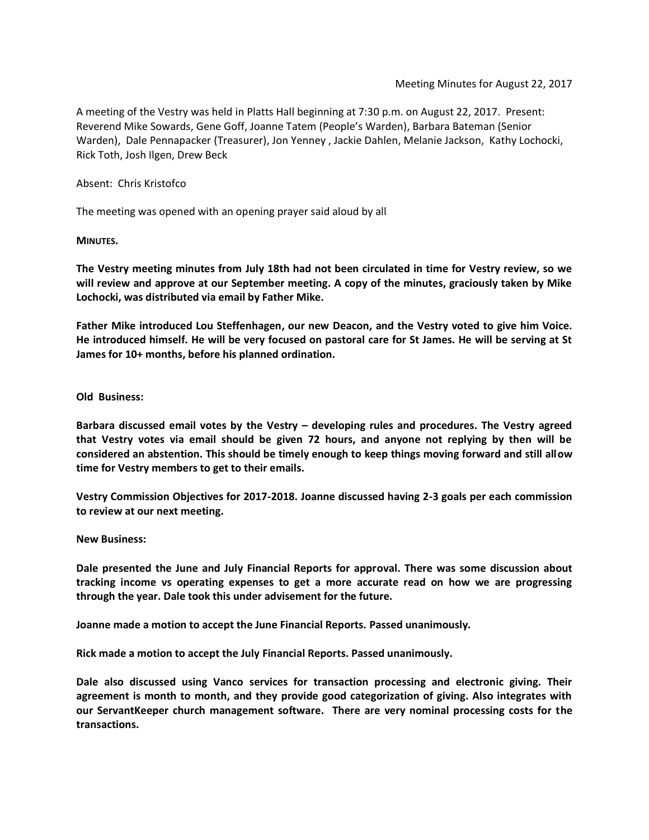A meeting of the Vestry was held in Platts Hall beginning at 7:30 p.m. on August 22, 2017. Present: Reverend Mike Sowards, Gene Goff, Joanne Tatem (People's Warden), Barbara Bateman (Senior Warden), Dale Pennapacker (Treasurer), Jon Yenney , Jackie Dahlen, Melanie Jackson, Kathy Lochocki, Rick Toth, Josh Ilgen, Drew Beck

Absent: Chris Kristofco

The meeting was opened with an opening prayer said aloud by all

**MINUTES.**

**The Vestry meeting minutes from July 18th had not been circulated in time for Vestry review, so we will review and approve at our September meeting. A copy of the minutes, graciously taken by Mike Lochocki, was distributed via email by Father Mike.**

**Father Mike introduced Lou Steffenhagen, our new Deacon, and the Vestry voted to give him Voice. He introduced himself. He will be very focused on pastoral care for St James. He will be serving at St James for 10+ months, before his planned ordination.**

**Old Business:**

**Barbara discussed email votes by the Vestry – developing rules and procedures. The Vestry agreed that Vestry votes via email should be given 72 hours, and anyone not replying by then will be considered an abstention. This should be timely enough to keep things moving forward and still allow time for Vestry members to get to their emails.**

**Vestry Commission Objectives for 2017-2018. Joanne discussed having 2-3 goals per each commission to review at our next meeting.**

**New Business:**

**Dale presented the June and July Financial Reports for approval. There was some discussion about tracking income vs operating expenses to get a more accurate read on how we are progressing through the year. Dale took this under advisement for the future.**

**Joanne made a motion to accept the June Financial Reports. Passed unanimously.**

**Rick made a motion to accept the July Financial Reports. Passed unanimously.**

**Dale also discussed using Vanco services for transaction processing and electronic giving. Their agreement is month to month, and they provide good categorization of giving. Also integrates with our ServantKeeper church management software. There are very nominal processing costs for the transactions.**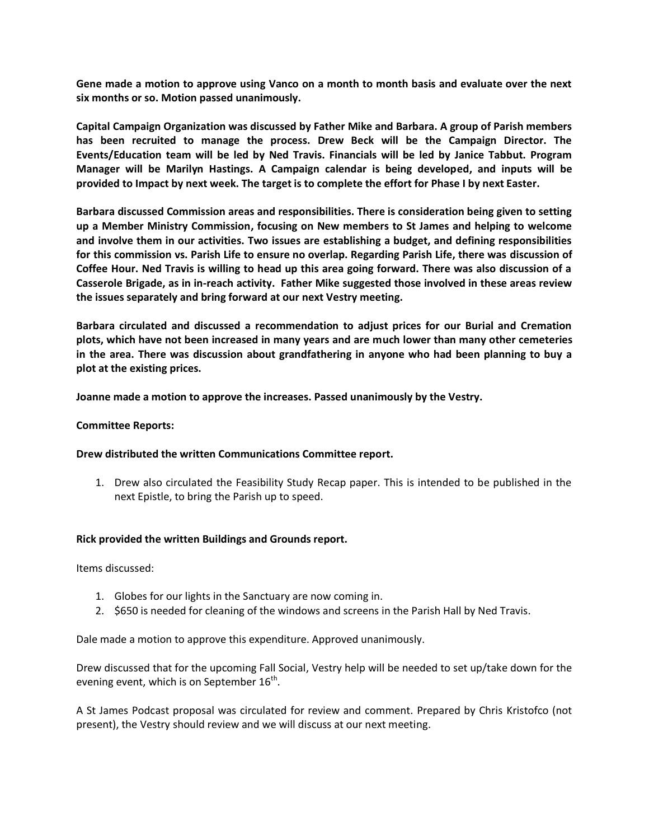**Gene made a motion to approve using Vanco on a month to month basis and evaluate over the next six months or so. Motion passed unanimously.**

**Capital Campaign Organization was discussed by Father Mike and Barbara. A group of Parish members has been recruited to manage the process. Drew Beck will be the Campaign Director. The Events/Education team will be led by Ned Travis. Financials will be led by Janice Tabbut. Program Manager will be Marilyn Hastings. A Campaign calendar is being developed, and inputs will be provided to Impact by next week. The target is to complete the effort for Phase I by next Easter.**

**Barbara discussed Commission areas and responsibilities. There is consideration being given to setting up a Member Ministry Commission, focusing on New members to St James and helping to welcome and involve them in our activities. Two issues are establishing a budget, and defining responsibilities for this commission vs. Parish Life to ensure no overlap. Regarding Parish Life, there was discussion of Coffee Hour. Ned Travis is willing to head up this area going forward. There was also discussion of a Casserole Brigade, as in in-reach activity. Father Mike suggested those involved in these areas review the issues separately and bring forward at our next Vestry meeting.**

**Barbara circulated and discussed a recommendation to adjust prices for our Burial and Cremation plots, which have not been increased in many years and are much lower than many other cemeteries in the area. There was discussion about grandfathering in anyone who had been planning to buy a plot at the existing prices.**

**Joanne made a motion to approve the increases. Passed unanimously by the Vestry.**

## **Committee Reports:**

### **Drew distributed the written Communications Committee report.**

1. Drew also circulated the Feasibility Study Recap paper. This is intended to be published in the next Epistle, to bring the Parish up to speed.

### **Rick provided the written Buildings and Grounds report.**

Items discussed:

- 1. Globes for our lights in the Sanctuary are now coming in.
- 2. \$650 is needed for cleaning of the windows and screens in the Parish Hall by Ned Travis.

Dale made a motion to approve this expenditure. Approved unanimously.

Drew discussed that for the upcoming Fall Social, Vestry help will be needed to set up/take down for the evening event, which is on September  $16^{\text{th}}$ .

A St James Podcast proposal was circulated for review and comment. Prepared by Chris Kristofco (not present), the Vestry should review and we will discuss at our next meeting.